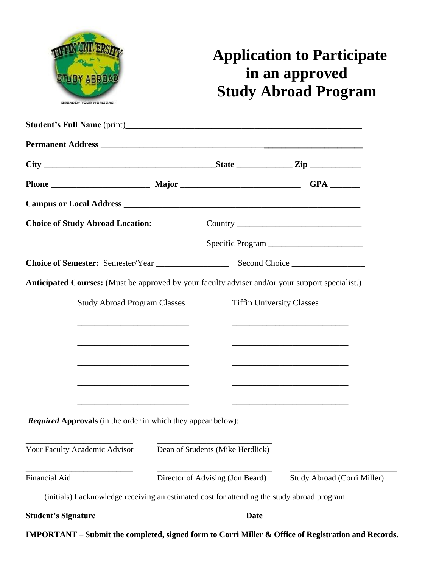

# **Application to Participate in an approved Study Abroad Program**

| <b>Choice of Study Abroad Location:</b>                                                                                                                                                                                              |                                                                 |                                  |                                                                                                                                                                                                                               |  |
|--------------------------------------------------------------------------------------------------------------------------------------------------------------------------------------------------------------------------------------|-----------------------------------------------------------------|----------------------------------|-------------------------------------------------------------------------------------------------------------------------------------------------------------------------------------------------------------------------------|--|
|                                                                                                                                                                                                                                      |                                                                 |                                  |                                                                                                                                                                                                                               |  |
|                                                                                                                                                                                                                                      |                                                                 |                                  |                                                                                                                                                                                                                               |  |
| Anticipated Courses: (Must be approved by your faculty adviser and/or your support specialist.)                                                                                                                                      |                                                                 |                                  |                                                                                                                                                                                                                               |  |
| <b>Study Abroad Program Classes</b>                                                                                                                                                                                                  |                                                                 | <b>Tiffin University Classes</b> |                                                                                                                                                                                                                               |  |
| <u> 2000 - Jan Barnett, fransk politik (d. 1888)</u>                                                                                                                                                                                 |                                                                 |                                  | the control of the control of the control of the control of the control of the control of the control of the control of the control of the control of the control of the control of the control of the control of the control |  |
|                                                                                                                                                                                                                                      |                                                                 |                                  |                                                                                                                                                                                                                               |  |
|                                                                                                                                                                                                                                      |                                                                 |                                  |                                                                                                                                                                                                                               |  |
| the control of the control of the control of the control of the control of the control of                                                                                                                                            |                                                                 |                                  |                                                                                                                                                                                                                               |  |
| the control of the control of the control of the control of the control of the control of                                                                                                                                            |                                                                 |                                  |                                                                                                                                                                                                                               |  |
| <u> 1990 - Johann John Harry Harry Harry Harry Harry Harry Harry Harry Harry Harry Harry Harry Harry Harry Harry Harry Harry Harry Harry Harry Harry Harry Harry Harry Harry Harry Harry Harry Harry Harry Harry Harry Harry Har</u> |                                                                 |                                  |                                                                                                                                                                                                                               |  |
| <b>Required Approvals</b> (in the order in which they appear below):                                                                                                                                                                 |                                                                 |                                  |                                                                                                                                                                                                                               |  |
|                                                                                                                                                                                                                                      |                                                                 |                                  |                                                                                                                                                                                                                               |  |
| Your Faculty Academic Advisor                                                                                                                                                                                                        | Dean of Students (Mike Herdlick)                                |                                  |                                                                                                                                                                                                                               |  |
| Financial Aid                                                                                                                                                                                                                        | Director of Advising (Jon Beard)<br>Study Abroad (Corri Miller) |                                  |                                                                                                                                                                                                                               |  |
| (initials) I acknowledge receiving an estimated cost for attending the study abroad program.                                                                                                                                         |                                                                 |                                  |                                                                                                                                                                                                                               |  |
|                                                                                                                                                                                                                                      |                                                                 |                                  |                                                                                                                                                                                                                               |  |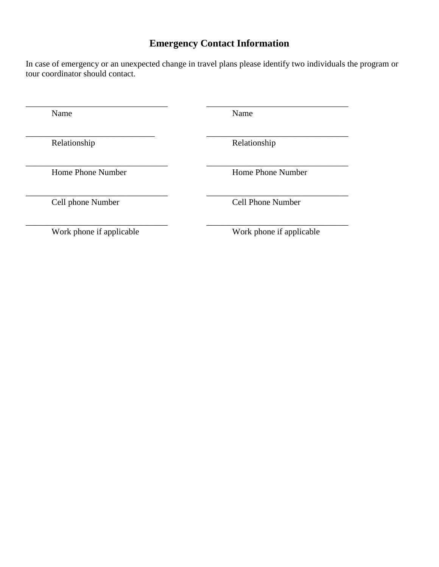## **Emergency Contact Information**

In case of emergency or an unexpected change in travel plans please identify two individuals the program or tour coordinator should contact.

\_\_\_\_\_\_\_\_\_\_\_\_\_\_\_\_\_\_\_\_\_\_\_\_\_\_\_\_\_\_\_\_\_ \_\_\_\_\_\_\_\_\_\_\_\_\_\_\_\_\_\_\_\_\_\_\_\_\_\_\_\_\_\_\_\_\_

\_\_\_\_\_\_\_\_\_\_\_\_\_\_\_\_\_\_\_\_\_\_\_\_\_\_\_\_\_\_ \_\_\_\_\_\_\_\_\_\_\_\_\_\_\_\_\_\_\_\_\_\_\_\_\_\_\_\_\_\_\_\_\_

Name Name Name

Relationship Relationship

\_\_\_\_\_\_\_\_\_\_\_\_\_\_\_\_\_\_\_\_\_\_\_\_\_\_\_\_\_\_\_\_\_ \_\_\_\_\_\_\_\_\_\_\_\_\_\_\_\_\_\_\_\_\_\_\_\_\_\_\_\_\_\_\_\_\_ Home Phone Number Home Phone Number

\_\_\_\_\_\_\_\_\_\_\_\_\_\_\_\_\_\_\_\_\_\_\_\_\_\_\_\_\_\_\_\_\_ \_\_\_\_\_\_\_\_\_\_\_\_\_\_\_\_\_\_\_\_\_\_\_\_\_\_\_\_\_\_\_\_\_ Cell phone Number Cell Phone Number

\_\_\_\_\_\_\_\_\_\_\_\_\_\_\_\_\_\_\_\_\_\_\_\_\_\_\_\_\_\_\_\_\_ \_\_\_\_\_\_\_\_\_\_\_\_\_\_\_\_\_\_\_\_\_\_\_\_\_\_\_\_\_\_\_\_\_ Work phone if applicable Work phone if applicable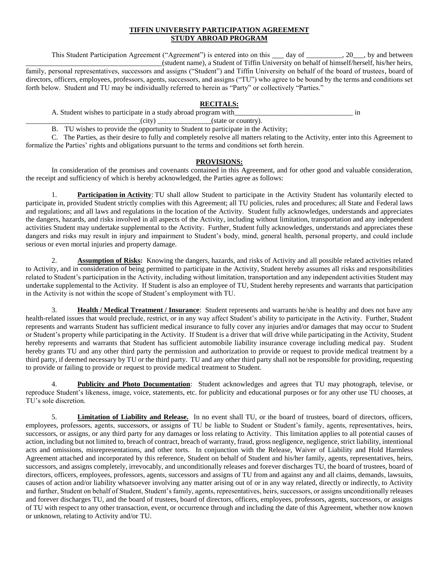#### **TIFFIN UNIVERSITY PARTICIPATION AGREEMENT STUDY ABROAD PROGRAM**

This Student Participation Agreement ("Agreement") is entered into on this day of . 20 with a between \_\_\_\_\_\_\_\_\_\_\_\_\_\_\_\_\_\_\_\_\_\_\_\_\_\_\_\_\_\_\_\_\_\_\_\_\_\_(student name), a Student of Tiffin University on behalf of himself/herself, his/her heirs, family, personal representatives, successors and assigns ("Student") and Tiffin University on behalf of the board of trustees, board of directors, officers, employees, professors, agents, successors, and assigns ("TU") who agree to be bound by the terms and conditions set forth below. Student and TU may be individually referred to herein as "Party" or collectively "Parties."

### **RECITALS:**

A. Student wishes to participate in a study abroad program with  $\qquad \qquad$  in

 $(city)$  (state or country).

B. TU wishes to provide the opportunity to Student to participate in the Activity;

C. The Parties, as their desire to fully and completely resolve all matters relating to the Activity, enter into this Agreement to formalize the Parties' rights and obligations pursuant to the terms and conditions set forth herein.

#### **PROVISIONS:**

In consideration of the promises and covenants contained in this Agreement, and for other good and valuable consideration, the receipt and sufficiency of which is hereby acknowledged, the Parties agree as follows:

**Participation in Activity:** TU shall allow Student to participate in the Activity Student has voluntarily elected to participate in, provided Student strictly complies with this Agreement; all TU policies, rules and procedures; all State and Federal laws and regulations; and all laws and regulations in the location of the Activity. Student fully acknowledges, understands and appreciates the dangers, hazards, and risks involved in all aspects of the Activity, including without limitation, transportation and any independent activities Student may undertake supplemental to the Activity. Further, Student fully acknowledges, understands and appreciates these dangers and risks may result in injury and impairment to Student's body, mind, general health, personal property, and could include serious or even mortal injuries and property damage.

2. **Assumption of Risks:** Knowing the dangers, hazards, and risks of Activity and all possible related activities related to Activity, and in consideration of being permitted to participate in the Activity, Student hereby assumes all risks and responsibilities related to Student's participation in the Activity, including without limitation, transportation and any independent activities Student may undertake supplemental to the Activity. If Student is also an employee of TU, Student hereby represents and warrants that participation in the Activity is not within the scope of Student's employment with TU.

3. **Health / Medical Treatment / Insurance**: Student represents and warrants he/she is healthy and does not have any health-related issues that would preclude, restrict, or in any way affect Student's ability to participate in the Activity. Further, Student represents and warrants Student has sufficient medical insurance to fully cover any injuries and/or damages that may occur to Student or Student's property while participating in the Activity. If Student is a driver that will drive while participating in the Activity, Student hereby represents and warrants that Student has sufficient automobile liability insurance coverage including medical pay. Student hereby grants TU and any other third party the permission and authorization to provide or request to provide medical treatment by a third party, if deemed necessary by TU or the third party. TU and any other third party shall not be responsible for providing, requesting to provide or failing to provide or request to provide medical treatment to Student.

4. **Publicity and Photo Documentation**: Student acknowledges and agrees that TU may photograph, televise, or reproduce Student's likeness, image, voice, statements, etc. for publicity and educational purposes or for any other use TU chooses, at TU's sole discretion.

5. **Limitation of Liability and Release.** In no event shall TU, or the board of trustees, board of directors, officers, employees, professors, agents, successors, or assigns of TU be liable to Student or Student's family, agents, representatives, heirs, successors, or assigns, or any third party for any damages or loss relating to Activity. This limitation applies to all potential causes of action, including but not limited to, breach of contract, breach of warranty, fraud, gross negligence, negligence, strict liability, intentional acts and omissions, misrepresentations, and other torts. In conjunction with the Release, Waiver of Liability and Hold Harmless Agreement attached and incorporated by this reference, Student on behalf of Student and his/her family, agents, representatives, heirs, successors, and assigns completely, irrevocably, and unconditionally releases and forever discharges TU, the board of trustees, board of directors, officers, employees, professors, agents, successors and assigns of TU from and against any and all claims, demands, lawsuits, causes of action and/or liability whatsoever involving any matter arising out of or in any way related, directly or indirectly, to Activity and further, Student on behalf of Student, Student's family, agents, representatives, heirs, successors, or assigns unconditionally releases and forever discharges TU, and the board of trustees, board of directors, officers, employees, professors, agents, successors, or assigns of TU with respect to any other transaction, event, or occurrence through and including the date of this Agreement, whether now known or unknown, relating to Activity and/or TU.